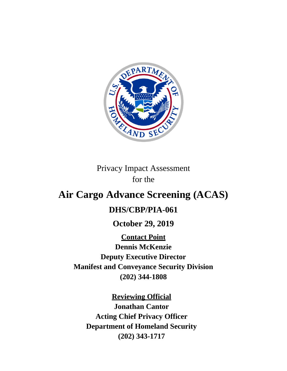

Privacy Impact Assessment for the

# **Air Cargo Advance Screening (ACAS)**

# **DHS/CBP/PIA-061**

**October 29, 2019**

**Contact Point Dennis McKenzie Deputy Executive Director Manifest and Conveyance Security Division (202) 344-1808**

**Reviewing Official Jonathan Cantor Acting Chief Privacy Officer Department of Homeland Security (202) 343-1717**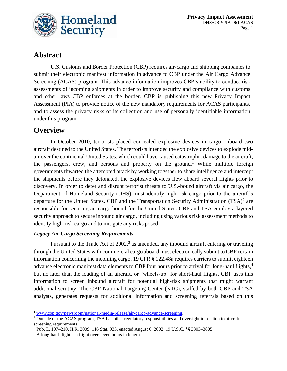

# **Abstract**

U.S. Customs and Border Protection (CBP) requires air-cargo and shipping companies to submit their electronic manifest information in advance to CBP under the Air Cargo Advance Screening (ACAS) program. This advance information improves CBP's ability to conduct risk assessments of incoming shipments in order to improve security and compliance with customs and other laws CBP enforces at the border. CBP is publishing this new Privacy Impact Assessment (PIA) to provide notice of the new mandatory requirements for ACAS participants, and to assess the privacy risks of its collection and use of personally identifiable information under this program.

# **Overview**

 $\overline{\phantom{a}}$ 

In October 2010, terrorists placed concealed explosive devices in cargo onboard two aircraft destined to the United States. The terrorists intended the explosive devices to explode midair over the continental United States, which could have caused catastrophic damage to the aircraft, the passengers, crew, and persons and property on the ground.<sup>1</sup> While multiple foreign governments thwarted the attempted attack by working together to share intelligence and intercept the shipments before they detonated, the explosive devices flew aboard several flights prior to discovery. In order to deter and disrupt terrorist threats to U.S.-bound aircraft via air cargo, the Department of Homeland Security (DHS) must identify high-risk cargo prior to the aircraft's departure for the United States. CBP and the Transportation Security Administration  $(TSA)^2$  are responsible for securing air cargo bound for the United States. CBP and TSA employ a layered security approach to secure inbound air cargo, including using various risk assessment methods to identify high-risk cargo and to mitigate any risks posed.

#### *Legacy Air Cargo Screening Requirements*

Pursuant to the Trade Act of 2002,<sup>3</sup> as amended, any inbound aircraft entering or traveling through the United States with commercial cargo aboard must electronically submit to CBP certain information concerning the incoming cargo. 19 CFR § 122.48a requires carriers to submit eighteen advance electronic manifest data elements to CBP four hours prior to arrival for long-haul flights,<sup>4</sup> but no later than the loading of an aircraft, or "wheels-up" for short-haul flights. CBP uses this information to screen inbound aircraft for potential high-risk shipments that might warrant additional scrutiny. The CBP National Targeting Center (NTC), staffed by both CBP and TSA analysts, generates requests for additional information and screening referrals based on this

<sup>1</sup> [www.cbp.gov/newsroom/national-media-release/air-cargo-advance-screening.](http://www.cbp.gov/newsroom/national-media-release/air-cargo-advance-screening)

<sup>2</sup> Outside of the ACAS program, TSA has other regulatory responsibilities and oversight in relation to aircraft screening requirements.

<sup>3</sup> Pub. L. 107–210, H.R. 3009, 116 Stat. 933, enacted August 6, 2002; 19 U.S.C. §§ 3803–3805.

<sup>4</sup> A long-haul flight is a flight over seven hours in length.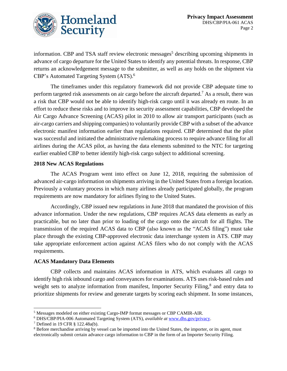

information. CBP and TSA staff review electronic messages<sup>5</sup> describing upcoming shipments in advance of cargo departure for the United States to identify any potential threats. In response, CBP returns an acknowledgement message to the submitter, as well as any holds on the shipment via CBP's Automated Targeting System (ATS). 6

The timeframes under this regulatory framework did not provide CBP adequate time to perform targeted risk assessments on air cargo before the aircraft departed.<sup>7</sup> As a result, there was a risk that CBP would not be able to identify high-risk cargo until it was already en route. In an effort to reduce these risks and to improve its security assessment capabilities, CBP developed the Air Cargo Advance Screening (ACAS) pilot in 2010 to allow air transport participants (such as air-cargo carriers and shipping companies) to voluntarily provide CBP with a subset of the advance electronic manifest information earlier than regulations required. CBP determined that the pilot was successful and initiated the administrative rulemaking process to require advance filing for all airlines during the ACAS pilot, as having the data elements submitted to the NTC for targeting earlier enabled CBP to better identify high-risk cargo subject to additional screening.

#### **2018 New ACAS Regulations**

The ACAS Program went into effect on June 12, 2018, requiring the submission of advanced air-cargo information on shipments arriving in the United States from a foreign location. Previously a voluntary process in which many airlines already participated globally, the program requirements are now mandatory for airlines flying to the United States.

Accordingly, CBP issued new regulations in June 2018 that mandated the provision of this advance information. Under the new regulations, CBP requires ACAS data elements as early as practicable, but no later than prior to loading of the cargo onto the aircraft for all flights. The transmission of the required ACAS data to CBP (also known as the "ACAS filing") must take place through the existing CBP-approved electronic data interchange system in ATS. CBP may take appropriate enforcement action against ACAS filers who do not comply with the ACAS requirements.

#### **ACAS Mandatory Data Elements**

CBP collects and maintains ACAS information in ATS, which evaluates all cargo to identify high risk inbound cargo and conveyances for examinations. ATS uses risk-based rules and weight sets to analyze information from manifest, Importer Security Filing,<sup>8</sup> and entry data to prioritize shipments for review and generate targets by scoring each shipment. In some instances,

 $\overline{\phantom{a}}$ 

<sup>5</sup> Messages modeled on either existing Cargo-IMP format messages or CBP CAMIR-AIR.

<sup>6</sup> DHS/CBP/PIA-006 Automated Targeting System (ATS), *available at* [www.dhs.gov/privacy.](http://www.dhs.gov/privacy)

<sup>7</sup> Defined in 19 CFR § 122.48a(b).

<sup>&</sup>lt;sup>8</sup> Before merchandise arriving by vessel can be imported into the United States, the importer, or its agent, must electronically submit certain advance cargo information to CBP in the form of an Importer Security Filing.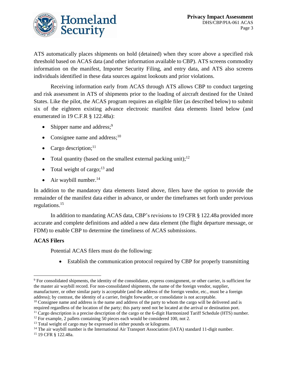

ATS automatically places shipments on hold (detained) when they score above a specified risk threshold based on ACAS data (and other information available to CBP). ATS screens commodity information on the manifest, Importer Security Filing, and entry data, and ATS also screens individuals identified in these data sources against lookouts and prior violations.

Receiving information early from ACAS through ATS allows CBP to conduct targeting and risk assessment in ATS of shipments prior to the loading of aircraft destined for the United States. Like the pilot, the ACAS program requires an eligible filer (as described below) to submit six of the eighteen existing advance electronic manifest data elements listed below (and enumerated in 19 C.F.R § 122.48a):

- Shipper name and address;<sup>9</sup>
- Consignee name and address; $10$
- Cargo description; $^{11}$
- Total quantity (based on the smallest external packing unit);<sup>12</sup>
- Total weight of cargo; $^{13}$  and
- Air waybill number.<sup>14</sup>

In addition to the mandatory data elements listed above, filers have the option to provide the remainder of the manifest data either in advance, or under the timeframes set forth under previous regulations. 15

In addition to mandating ACAS data, CBP's revisions to 19 CFR § 122.48a provided more accurate and complete definitions and added a new data element (the flight departure message, or FDM) to enable CBP to determine the timeliness of ACAS submissions.

#### **ACAS Filers**

 $\overline{\phantom{a}}$ 

Potential ACAS filers must do the following:

• Establish the communication protocol required by CBP for properly transmitting

<sup>9</sup> For consolidated shipments, the identity of the consolidator, express consignment, or other carrier, is sufficient for the master air waybill record. For non-consolidated shipments, the name of the foreign vendor, supplier, manufacturer, or other similar party is acceptable (and the address of the foreign vendor, etc., must be a foreign address); by contrast, the identity of a carrier, freight forwarder, or consolidator is not acceptable.

<sup>&</sup>lt;sup>10</sup> Consignee name and address is the name and address of the party to whom the cargo will be delivered and is required regardless of the location of the party; this party need not be located at the arrival or destination port.

 $<sup>11</sup>$  Cargo description is a precise description of the cargo or the 6-digit Harmonized Tariff Schedule (HTS) number.</sup>

<sup>&</sup>lt;sup>12</sup> For example, 2 pallets containing 50 pieces each would be considered 100, not 2.

<sup>&</sup>lt;sup>13</sup> Total weight of cargo may be expressed in either pounds or kilograms.

<sup>&</sup>lt;sup>14</sup> The air waybill number is the International Air Transport Association (IATA) standard 11-digit number.

<sup>15</sup> 19 CFR § 122.48a.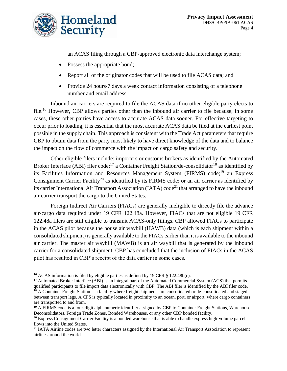

an ACAS filing through a CBP-approved electronic data interchange system;

- Possess the appropriate bond;
- Report all of the originator codes that will be used to file ACAS data; and
- Provide 24 hours/7 days a week contact information consisting of a telephone number and email address.

Inbound air carriers are required to file the ACAS data if no other eligible party elects to file. <sup>16</sup> However, CBP allows parties other than the inbound air carrier to file because, in some cases, these other parties have access to accurate ACAS data sooner. For effective targeting to occur prior to loading, it is essential that the most accurate ACAS data be filed at the earliest point possible in the supply chain. This approach is consistent with the Trade Act parameters that require CBP to obtain data from the party most likely to have direct knowledge of the data and to balance the impact on the flow of commerce with the impact on cargo safety and security.

Other eligible filers include: importers or customs brokers as identified by the Automated Broker Interface (ABI) filer code;<sup>17</sup> a Container Freight Station/de-consolidator<sup>18</sup> as identified by its Facilities Information and Resources Management System (FIRMS) code;<sup>19</sup> an Express Consignment Carrier Facility<sup>20</sup> as identified by its FIRMS code; or an air carrier as identified by its carrier International Air Transport Association (IATA) code<sup>21</sup> that arranged to have the inbound air carrier transport the cargo to the United States.

Foreign Indirect Air Carriers (FIACs) are generally ineligible to directly file the advance air-cargo data required under 19 CFR 122.48a. However, FIACs that are not eligible 19 CFR 122.48a filers are still eligible to transmit ACAS-only filings. CBP allowed FIACs to participate in the ACAS pilot because the house air waybill (HAWB) data (which is each shipment within a consolidated shipment) is generally available to the FIACs earlier than it is available to the inbound air carrier. The master air waybill (MAWB) is an air waybill that is generated by the inbound carrier for a consolidated shipment. CBP has concluded that the inclusion of FIACs in the ACAS pilot has resulted in CBP's receipt of the data earlier in some cases.

l

<sup>&</sup>lt;sup>16</sup> ACAS information is filed by eligible parties as defined by 19 CFR § 122.48b(c).

<sup>&</sup>lt;sup>17</sup> Automated Broker Interface (ABI) is an integral part of the Automated Commercial System (ACS) that permits qualified participants to file import data electronically with CBP. The ABI filer is identified by the ABI filer code.

<sup>&</sup>lt;sup>18</sup> A Container Freight Station is a facility where freight shipments are consolidated or de-consolidated and staged between transport legs. A CFS is typically located in proximity to an ocean, port, or airport, where cargo containers are transported to and from.

<sup>&</sup>lt;sup>19</sup> A FIRMS code is a four-digit alphanumeric identifier assigned by CBP to Container Freight Stations, Warehouse Deconsolidators, Foreign Trade Zones, Bonded Warehouses, or any other CBP bonded facility.

<sup>&</sup>lt;sup>20</sup> Express Consignment Carrier Facility is a bonded warehouse that is able to handle express high-volume parcel flows into the United States.

<sup>&</sup>lt;sup>21</sup> IATA Airline codes are two letter characters assigned by the International Air Transport Association to represent airlines around the world.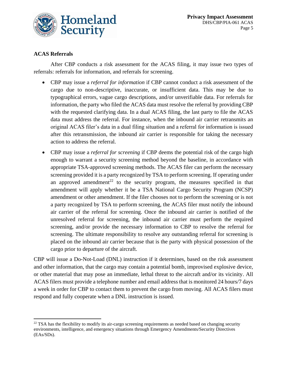

#### **ACAS Referrals**

l

After CBP conducts a risk assessment for the ACAS filing, it may issue two types of referrals: referrals for information, and referrals for screening.

- CBP may issue a *referral for information* if CBP cannot conduct a risk assessment of the cargo due to non-descriptive, inaccurate, or insufficient data. This may be due to typographical errors, vague cargo descriptions, and/or unverifiable data. For referrals for information, the party who filed the ACAS data must resolve the referral by providing CBP with the requested clarifying data. In a dual ACAS filing, the last party to file the ACAS data must address the referral. For instance, when the inbound air carrier retransmits an original ACAS filer's data in a dual filing situation and a referral for information is issued after this retransmission, the inbound air carrier is responsible for taking the necessary action to address the referral.
- CBP may issue a *referral for screening* if CBP deems the potential risk of the cargo high enough to warrant a security screening method beyond the baseline, in accordance with appropriate TSA-approved screening methods. The ACAS filer can perform the necessary screening provided it is a party recognized by TSA to perform screening. If operating under an approved amendment<sup>22</sup> to the security program, the measures specified in that amendment will apply whether it be a TSA National Cargo Security Program (NCSP) amendment or other amendment. If the filer chooses not to perform the screening or is not a party recognized by TSA to perform screening, the ACAS filer must notify the inbound air carrier of the referral for screening. Once the inbound air carrier is notified of the unresolved referral for screening, the inbound air carrier must perform the required screening, and/or provide the necessary information to CBP to resolve the referral for screening. The ultimate responsibility to resolve any outstanding referral for screening is placed on the inbound air carrier because that is the party with physical possession of the cargo prior to departure of the aircraft.

CBP will issue a Do-Not-Load (DNL) instruction if it determines, based on the risk assessment and other information, that the cargo may contain a potential bomb, improvised explosive device, or other material that may pose an immediate, lethal threat to the aircraft and/or its vicinity. All ACAS filers must provide a telephone number and email address that is monitored 24 hours/7 days a week in order for CBP to contact them to prevent the cargo from moving. All ACAS filers must respond and fully cooperate when a DNL instruction is issued.

<sup>&</sup>lt;sup>22</sup> TSA has the flexibility to modify its air-cargo screening requirements as needed based on changing security environments, intelligence, and emergency situations through Emergency Amendments/Security Directives (EAs/SDs).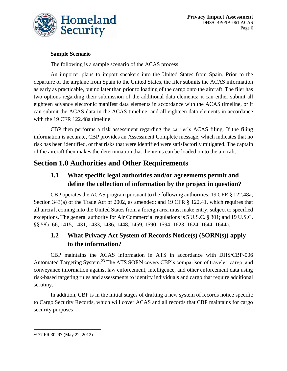

#### **Sample Scenario**

The following is a sample scenario of the ACAS process:

An importer plans to import sneakers into the United States from Spain. Prior to the departure of the airplane from Spain to the United States, the filer submits the ACAS information as early as practicable, but no later than prior to loading of the cargo onto the aircraft. The filer has two options regarding their submission of the additional data elements: it can either submit all eighteen advance electronic manifest data elements in accordance with the ACAS timeline, or it can submit the ACAS data in the ACAS timeline, and all eighteen data elements in accordance with the 19 CFR 122.48a timeline.

CBP then performs a risk assessment regarding the carrier's ACAS filing. If the filing information is accurate, CBP provides an Assessment Complete message, which indicates that no risk has been identified, or that risks that were identified were satisfactorily mitigated. The captain of the aircraft then makes the determination that the items can be loaded on to the aircraft.

# **Section 1.0 Authorities and Other Requirements**

#### **1.1 What specific legal authorities and/or agreements permit and define the collection of information by the project in question?**

CBP operates the ACAS program pursuant to the following authorities: 19 CFR § 122.48a; Section 343(a) of the Trade Act of 2002, as amended; and 19 CFR § 122.41, which requires that all aircraft coming into the United States from a foreign area must make entry, subject to specified exceptions. The general authority for Air Commercial regulations is 5 U.S.C. § 301; and 19 U.S.C. §§ 58b, 66, 1415, 1431, 1433, 1436, 1448, 1459, 1590, 1594, 1623, 1624, 1644, 1644a.

# **1.2 What Privacy Act System of Records Notice(s) (SORN(s)) apply to the information?**

CBP maintains the ACAS information in ATS in accordance with DHS/CBP-006 Automated Targeting System.<sup>23</sup> The ATS SORN covers CBP's comparison of traveler, cargo, and conveyance information against law enforcement, intelligence, and other enforcement data using risk-based targeting rules and assessments to identify individuals and cargo that require additional scrutiny.

In addition, CBP is in the initial stages of drafting a new system of records notice specific to Cargo Security Records, which will cover ACAS and all records that CBP maintains for cargo security purposes

l <sup>23</sup> 77 FR 30297 (May 22, 2012).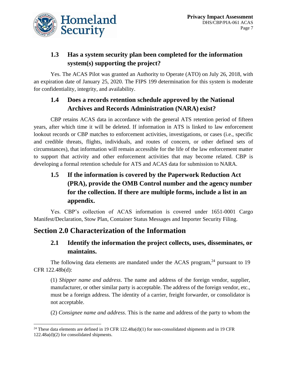

### **1.3 Has a system security plan been completed for the information system(s) supporting the project?**

Yes. The ACAS Pilot was granted an Authority to Operate (ATO) on July 26, 2018, with an expiration date of January 25, 2020. The FIPS 199 determination for this system is moderate for confidentiality, integrity, and availability.

#### **1.4 Does a records retention schedule approved by the National Archives and Records Administration (NARA) exist?**

CBP retains ACAS data in accordance with the general ATS retention period of fifteen years, after which time it will be deleted. If information in ATS is linked to law enforcement lookout records or CBP matches to enforcement activities, investigations, or cases (i.e., specific and credible threats, flights, individuals, and routes of concern, or other defined sets of circumstances), that information will remain accessible for the life of the law enforcement matter to support that activity and other enforcement activities that may become related. CBP is developing a formal retention schedule for ATS and ACAS data for submission to NARA.

# **1.5 If the information is covered by the Paperwork Reduction Act (PRA), provide the OMB Control number and the agency number for the collection. If there are multiple forms, include a list in an appendix.**

Yes. CBP's collection of ACAS information is covered under 1651-0001 Cargo Manifest/Declaration, Stow Plan, Container Status Messages and Importer Security Filing.

# **Section 2.0 Characterization of the Information**

 $\overline{\phantom{a}}$ 

# **2.1 Identify the information the project collects, uses, disseminates, or maintains.**

The following data elements are mandated under the ACAS program,<sup>24</sup> pursuant to 19 CFR 122.48b(d):

(1) *Shipper name and address*. The name and address of the foreign vendor, supplier, manufacturer, or other similar party is acceptable. The address of the foreign vendor, etc., must be a foreign address. The identity of a carrier, freight forwarder, or consolidator is not acceptable.

(2) *Consignee name and address*. This is the name and address of the party to whom the

<sup>&</sup>lt;sup>24</sup> These data elements are defined in 19 CFR 122.48a(d)(1) for non-consolidated shipments and in 19 CFR 122.48a(d)(2) for consolidated shipments.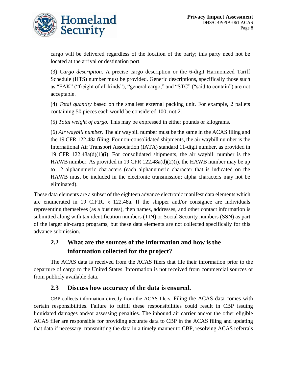

cargo will be delivered regardless of the location of the party; this party need not be located at the arrival or destination port.

(3) *Cargo description*. A precise cargo description or the 6-digit Harmonized Tariff Schedule (HTS) number must be provided. Generic descriptions, specifically those such as "FAK" ("freight of all kinds"), "general cargo," and "STC" ("said to contain") are not acceptable.

(4) *Total quantity* based on the smallest external packing unit. For example, 2 pallets containing 50 pieces each would be considered 100, not 2.

(5) *Total weight of cargo.* This may be expressed in either pounds or kilograms.

(6) *Air waybill number*. The air waybill number must be the same in the ACAS filing and the 19 CFR 122.48a filing. For non-consolidated shipments, the air waybill number is the International Air Transport Association (IATA) standard 11-digit number, as provided in 19 CFR 122.48a(d)(1)(i). For consolidated shipments, the air waybill number is the HAWB number. As provided in 19 CFR 122.48a(d)(2)(i), the HAWB number may be up to 12 alphanumeric characters (each alphanumeric character that is indicated on the HAWB must be included in the electronic transmission; alpha characters may not be eliminated).

These data elements are a subset of the eighteen advance electronic manifest data elements which are enumerated in 19 C.F.R. § 122.48a. If the shipper and/or consignee are individuals representing themselves (as a business), then names, addresses, and other contact information is submitted along with tax identification numbers (TIN) or Social Security numbers (SSN) as part of the larger air-cargo programs, but these data elements are not collected specifically for this advance submission.

#### **2.2 What are the sources of the information and how is the information collected for the project?**

The ACAS data is received from the ACAS filers that file their information prior to the departure of cargo to the United States. Information is not received from commercial sources or from publicly available data.

#### **2.3 Discuss how accuracy of the data is ensured.**

CBP collects information directly from the ACAS filers. Filing the ACAS data comes with certain responsibilities. Failure to fulfill these responsibilities could result in CBP issuing liquidated damages and/or assessing penalties. The inbound air carrier and/or the other eligible ACAS filer are responsible for providing accurate data to CBP in the ACAS filing and updating that data if necessary, transmitting the data in a timely manner to CBP, resolving ACAS referrals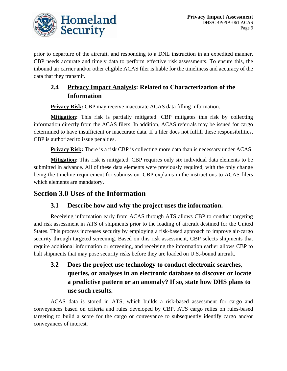

prior to departure of the aircraft, and responding to a DNL instruction in an expedited manner. CBP needs accurate and timely data to perform effective risk assessments. To ensure this, the inbound air carrier and/or other eligible ACAS filer is liable for the timeliness and accuracy of the data that they transmit.

# **2.4 Privacy Impact Analysis: Related to Characterization of the Information**

**Privacy Risk:** CBP may receive inaccurate ACAS data filling information.

**Mitigation:** This risk is partially mitigated. CBP mitigates this risk by collecting information directly from the ACAS filers. In addition, ACAS referrals may be issued for cargo determined to have insufficient or inaccurate data. If a filer does not fulfill these responsibilities, CBP is authorized to issue penalties.

**Privacy Risk:** There is a risk CBP is collecting more data than is necessary under ACAS.

**Mitigation:** This risk is mitigated. CBP requires only six individual data elements to be submitted in advance. All of these data elements were previously required, with the only change being the timeline requirement for submission. CBP explains in the instructions to ACAS filers which elements are mandatory.

# **Section 3.0 Uses of the Information**

#### **3.1 Describe how and why the project uses the information.**

Receiving information early from ACAS through ATS allows CBP to conduct targeting and risk assessment in ATS of shipments prior to the loading of aircraft destined for the United States. This process increases security by employing a risk-based approach to improve air-cargo security through targeted screening. Based on this risk assessment, CBP selects shipments that require additional information or screening, and receiving the information earlier allows CBP to halt shipments that may pose security risks before they are loaded on U.S.-bound aircraft.

# **3.2 Does the project use technology to conduct electronic searches, queries, or analyses in an electronic database to discover or locate a predictive pattern or an anomaly? If so, state how DHS plans to use such results.**

ACAS data is stored in ATS, which builds a risk-based assessment for cargo and conveyances based on criteria and rules developed by CBP. ATS cargo relies on rules-based targeting to build a score for the cargo or conveyance to subsequently identify cargo and/or conveyances of interest.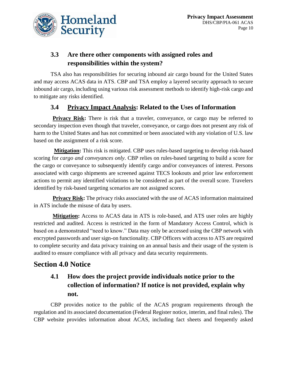

#### **3.3 Are there other components with assigned roles and responsibilities within the system?**

TSA also has responsibilities for securing inbound air cargo bound for the United States and may access ACAS data in ATS. CBP and TSA employ a layered security approach to secure inbound air cargo, including using various risk assessment methods to identify high-risk cargo and to mitigate any risks identified.

#### **3.4** Privacy Impact Analysis: Related to the Uses of Information

**Privacy Risk:** There is risk that a traveler, conveyance, or cargo may be referred to secondary inspection even though that traveler, conveyance, or cargo does not present any risk of harm to the United States and has not committed or been associated with any violation of U.S. law based on the assignment of a risk score.

**Mitigation:** This risk is mitigated. CBP uses rules-based targeting to develop risk-based scoring for *cargo and conveyances only*. CBP relies on rules-based targeting to build a score for the cargo or conveyance to subsequently identify cargo and/or conveyances of interest. Persons associated with cargo shipments are screened against TECS lookouts and prior law enforcement actions to permit any identified violations to be considered as part of the overall score. Travelers identified by risk-based targeting scenarios are not assigned scores.

**Privacy Risk:** The privacy risks associated with the use of ACAS information maintained in ATS include the misuse of data by users.

**Mitigation:** Access to ACAS data in ATS is role-based, and ATS user roles are highly restricted and audited. Access is restricted in the form of Mandatory Access Control, which is based on a demonstrated "need to know." Data may only be accessed using the CBP network with encrypted passwords and user sign-on functionality. CBP Officers with access to ATS are required to complete security and data privacy training on an annual basis and their usage of the system is audited to ensure compliance with all privacy and data security requirements.

# **Section 4.0 Notice**

# **4.1 How does the project provide individuals notice prior to the collection of information? If notice is not provided, explain why not.**

CBP provides notice to the public of the ACAS program requirements through the regulation and its associated documentation (Federal Register notice, interim, and final rules). The CBP website provides information about ACAS, including fact sheets and frequently asked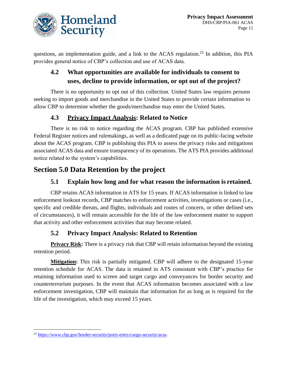

questions, an implementation guide, and a link to the ACAS regulation.<sup>25</sup> In addition, this PIA provides general notice of CBP's collection and use of ACAS data.

# **4.2 What opportunities are available for individuals to consent to uses, decline to provide information, or opt out of the project?**

There is no opportunity to opt out of this collection. United States law requires persons seeking to import goods and merchandise in the United States to provide certain information to allow CBP to determine whether the goods/merchandise may enter the United States.

#### **4.3 Privacy Impact Analysis: Related to Notice**

There is no risk to notice regarding the ACAS program. CBP has published extensive Federal Register notices and rulemakings, as well as a dedicated page on its public-facing website about the ACAS program. CBP is publishing this PIA to assess the privacy risks and mitigations associated ACAS data and ensure transparency of its operations. The ATS PIA provides additional notice related to the system's capabilities.

# **Section 5.0 Data Retention by the project**

#### **5.1 Explain how long and for what reason the information is retained.**

CBP retains ACAS information in ATS for 15 years. If ACAS information is linked to law enforcement lookout records, CBP matches to enforcement activities, investigations or cases (i.e., specific and credible threats, and flights, individuals and routes of concern, or other defined sets of circumstances), it will remain accessible for the life of the law enforcement matter to support that activity and other enforcement activities that may become related.

#### **5.2 Privacy Impact Analysis: Related to Retention**

**Privacy Risk:** There is a privacy risk that CBP will retain information beyond the existing retention period.

**Mitigation:** This risk is partially mitigated. CBP will adhere to the designated 15-year retention schedule for ACAS. The data is retained in ATS consistent with CBP's practice for retaining information used to screen and target cargo and conveyances for border security and counterterrorism purposes. In the event that ACAS information becomes associated with a law enforcement investigation, CBP will maintain that information for as long as is required for the life of the investigation, which may exceed 15 years.

l <sup>25</sup> [https://www.cbp.gov/border-security/ports-entry/cargo-security/acas.](https://www.cbp.gov/border-security/ports-entry/cargo-security/acas)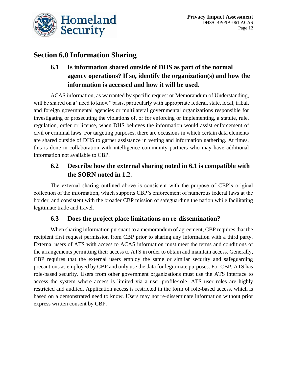

# **Section 6.0 Information Sharing**

# **6.1 Is information shared outside of DHS as part of the normal agency operations? If so, identify the organization(s) and how the information is accessed and how it will be used.**

ACAS information, as warranted by specific request or Memorandum of Understanding, will be shared on a "need to know" basis, particularly with appropriate federal, state, local, tribal, and foreign governmental agencies or multilateral governmental organizations responsible for investigating or prosecuting the violations of, or for enforcing or implementing, a statute, rule, regulation, order or license, when DHS believes the information would assist enforcement of civil or criminal laws. For targeting purposes, there are occasions in which certain data elements are shared outside of DHS to garner assistance in vetting and information gathering. At times, this is done in collaboration with intelligence community partners who may have additional information not available to CBP.

#### **6.2 Describe how the external sharing noted in 6.1 is compatible with the SORN noted in 1.2.**

The external sharing outlined above is consistent with the purpose of CBP's original collection of the information, which supports CBP's enforcement of numerous federal laws at the border, and consistent with the broader CBP mission of safeguarding the nation while facilitating legitimate trade and travel.

#### **6.3 Does the project place limitations on re-dissemination?**

When sharing information pursuant to a memorandum of agreement, CBP requires that the recipient first request permission from CBP prior to sharing any information with a third party. External users of ATS with access to ACAS information must meet the terms and conditions of the arrangements permitting their access to ATS in order to obtain and maintain access. Generally, CBP requires that the external users employ the same or similar security and safeguarding precautions as employed by CBP and only use the data for legitimate purposes. For CBP, ATS has role-based security. Users from other government organizations must use the ATS interface to access the system where access is limited via a user profile/role. ATS user roles are highly restricted and audited. Application access is restricted in the form of role-based access, which is based on a demonstrated need to know. Users may not re-disseminate information without prior express written consent by CBP.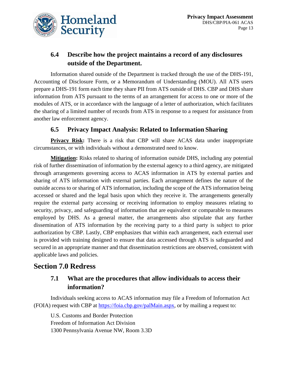

#### **6.4 Describe how the project maintains a record of any disclosures outside of the Department.**

Information shared outside of the Department is tracked through the use of the DHS-191, Accounting of Disclosure Form, or a Memorandum of Understanding (MOU). All ATS users prepare a DHS-191 form each time they share PII from ATS outside of DHS. CBP and DHS share information from ATS pursuant to the terms of an arrangement for access to one or more of the modules of ATS, or in accordance with the language of a letter of authorization, which facilitates the sharing of a limited number of records from ATS in response to a request for assistance from another law enforcement agency.

#### **6.5 Privacy Impact Analysis: Related to Information Sharing**

**Privacy Risk:** There is a risk that CBP will share ACAS data under inappropriate circumstances, or with individuals without a demonstrated need to know.

**Mitigation:** Risks related to sharing of information outside DHS, including any potential risk of further dissemination of information by the external agency to a third agency, are mitigated through arrangements governing access to ACAS information in ATS by external parties and sharing of ATS information with external parties. Each arrangement defines the nature of the outside access to or sharing of ATS information, including the scope of the ATS information being accessed or shared and the legal basis upon which they receive it. The arrangements generally require the external party accessing or receiving information to employ measures relating to security, privacy, and safeguarding of information that are equivalent or comparable to measures employed by DHS. As a general matter, the arrangements also stipulate that any further dissemination of ATS information by the receiving party to a third party is subject to prior authorization by CBP. Lastly, CBP emphasizes that within each arrangement, each external user is provided with training designed to ensure that data accessed through ATS is safeguarded and secured in an appropriate manner and that dissemination restrictions are observed, consistent with applicable laws and policies.

# **Section 7.0 Redress**

#### **7.1 What are the procedures that allow individuals to access their information?**

Individuals seeking access to ACAS information may file a Freedom of Information Act (FOIA) request with CBP at [https://foia.cbp.gov/palMain.aspx,](https://foia.cbp.gov/palMain.aspx) or by mailing a request to:

U.S. Customs and Border Protection Freedom of Information Act Division 1300 Pennsylvania Avenue NW, Room 3.3D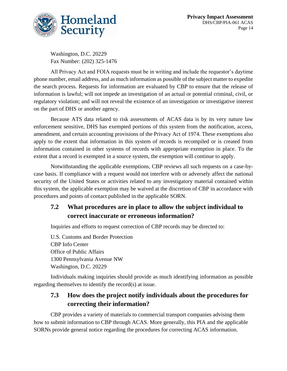

Washington, D.C. 20229 Fax Number: (202) 325-1476

All Privacy Act and FOIA requests must be in writing and include the requestor's daytime phone number, email address, and as much information as possible of the subject matter to expedite the search process. Requests for information are evaluated by CBP to ensure that the release of information is lawful; will not impede an investigation of an actual or potential criminal, civil, or regulatory violation; and will not reveal the existence of an investigation or investigative interest on the part of DHS or another agency.

Because ATS data related to risk assessments of ACAS data is by its very nature law enforcement sensitive, DHS has exempted portions of this system from the notification, access, amendment, and certain accounting provisions of the Privacy Act of 1974. These exemptions also apply to the extent that information in this system of records is recompiled or is created from information contained in other systems of records with appropriate exemption in place. To the extent that a record is exempted in a source system, the exemption will continue to apply.

Notwithstanding the applicable exemptions, CBP reviews all such requests on a case-bycase basis. If compliance with a request would not interfere with or adversely affect the national security of the United States or activities related to any investigatory material contained within this system, the applicable exemption may be waived at the discretion of CBP in accordance with procedures and points of contact published in the applicable SORN.

#### **7.2 What procedures are in place to allow the subject individual to correct inaccurate or erroneous information?**

Inquiries and efforts to request correction of CBP records may be directed to:

U.S. Customs and Border Protection CBP Info Center Office of Public Affairs 1300 Pennsylvania Avenue NW Washington, D.C. 20229

Individuals making inquiries should provide as much identifying information as possible regarding themselves to identify the record(s) at issue.

#### **7.3 How does the project notify individuals about the procedures for correcting their information?**

CBP provides a variety of materials to commercial transport companies advising them how to submit information to CBP through ACAS. More generally, this PIA and the applicable SORNs provide general notice regarding the procedures for correcting ACAS information.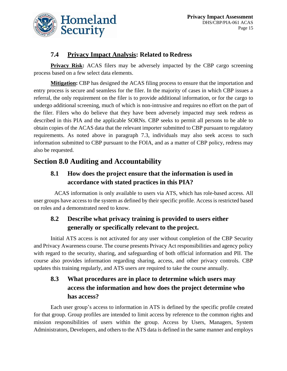

#### **7.4 Privacy Impact Analysis: Related to Redress**

**Privacy Risk:** ACAS filers may be adversely impacted by the CBP cargo screening process based on a few select data elements.

**Mitigation:** CBP has designed the ACAS filing process to ensure that the importation and entry process is secure and seamless for the filer. In the majority of cases in which CBP issues a referral, the only requirement on the filer is to provide additional information, or for the cargo to undergo additional screening, much of which is non-intrusive and requires no effort on the part of the filer. Filers who do believe that they have been adversely impacted may seek redress as described in this PIA and the applicable SORNs. CBP seeks to permit all persons to be able to obtain copies of the ACAS data that the relevant importer submitted to CBP pursuant to regulatory requirements. As noted above in paragraph 7.3, individuals may also seek access to such information submitted to CBP pursuant to the FOIA, and as a matter of CBP policy, redress may also be requested.

# **Section 8.0 Auditing and Accountability**

# **8.1 How does the project ensure that the information is used in accordance with stated practices in this PIA?**

ACAS information is only available to users via ATS, which has role-based access. All user groups have access to the system as defined by their specific profile. Access is restricted based on roles and a demonstrated need to know.

# **8.2 Describe what privacy training is provided to users either generally or specifically relevant to the project.**

Initial ATS access is not activated for any user without completion of the CBP Security and Privacy Awareness course. The course presents Privacy Act responsibilities and agency policy with regard to the security, sharing, and safeguarding of both official information and PII. The course also provides information regarding sharing, access, and other privacy controls. CBP updates this training regularly, and ATS users are required to take the course annually.

# **8.3 What procedures are in place to determine which users may access the information and how does the project determine who has access?**

Each user group's access to information in ATS is defined by the specific profile created for that group. Group profiles are intended to limit access by reference to the common rights and mission responsibilities of users within the group. Access by Users, Managers, System Administrators, Developers, and others to the ATS data is defined in the same manner and employs